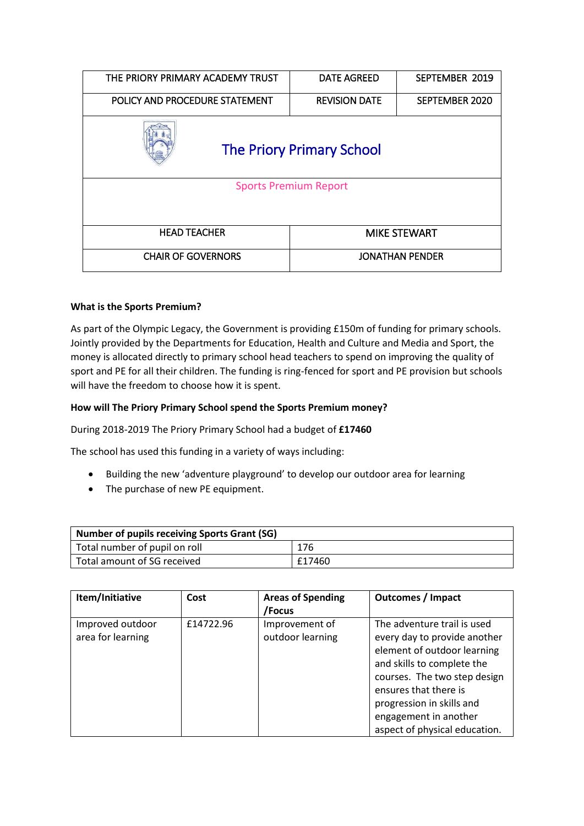| THE PRIORY PRIMARY ACADEMY TRUST | <b>DATE AGREED</b>     | SEPTEMBER 2019 |  |  |  |
|----------------------------------|------------------------|----------------|--|--|--|
| POLICY AND PROCEDURE STATEMENT   | <b>REVISION DATE</b>   | SEPTEMBER 2020 |  |  |  |
| <b>The Priory Primary School</b> |                        |                |  |  |  |
| <b>Sports Premium Report</b>     |                        |                |  |  |  |
|                                  |                        |                |  |  |  |
| <b>HEAD TEACHER</b>              | <b>MIKE STEWART</b>    |                |  |  |  |
| <b>CHAIR OF GOVERNORS</b>        | <b>JONATHAN PENDER</b> |                |  |  |  |

## **What is the Sports Premium?**

As part of the Olympic Legacy, the Government is providing £150m of funding for primary schools. Jointly provided by the Departments for Education, Health and Culture and Media and Sport, the money is allocated directly to primary school head teachers to spend on improving the quality of sport and PE for all their children. The funding is ring-fenced for sport and PE provision but schools will have the freedom to choose how it is spent.

## **How will The Priory Primary School spend the Sports Premium money?**

During 2018-2019 The Priory Primary School had a budget of **£17460**

The school has used this funding in a variety of ways including:

- Building the new 'adventure playground' to develop our outdoor area for learning
- The purchase of new PE equipment.

| <b>Number of pupils receiving Sports Grant (SG)</b> |        |  |  |  |
|-----------------------------------------------------|--------|--|--|--|
| Total number of pupil on roll                       | 176    |  |  |  |
| Total amount of SG received                         | £17460 |  |  |  |

| Item/Initiative   | Cost      | <b>Areas of Spending</b> | <b>Outcomes / Impact</b>      |
|-------------------|-----------|--------------------------|-------------------------------|
|                   |           | /Focus                   |                               |
| Improved outdoor  | £14722.96 | Improvement of           | The adventure trail is used   |
| area for learning |           | outdoor learning         | every day to provide another  |
|                   |           |                          | element of outdoor learning   |
|                   |           |                          | and skills to complete the    |
|                   |           |                          | courses. The two step design  |
|                   |           |                          | ensures that there is         |
|                   |           |                          | progression in skills and     |
|                   |           |                          | engagement in another         |
|                   |           |                          | aspect of physical education. |